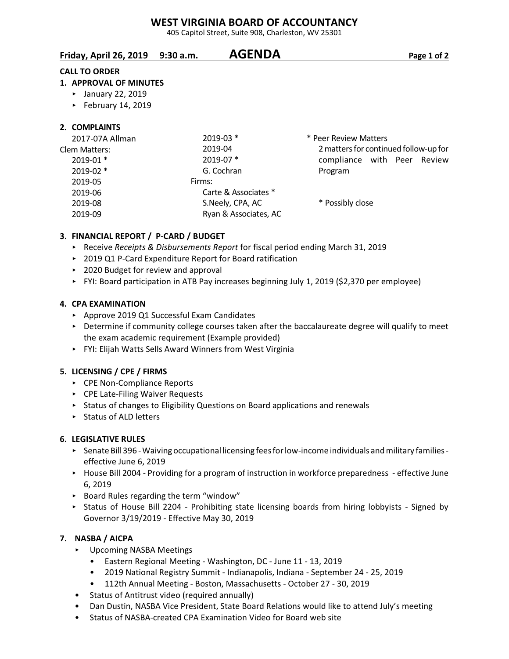# **WEST VIRGINIA BOARD OF ACCOUNTANCY**

405 Capitol Street, Suite 908, Charleston, WV 25301

| Friday, April 26, 2019 9:30 a.m. | <b>AGENDA</b> | Page 1 of 2 |
|----------------------------------|---------------|-------------|
|                                  |               |             |

## **CALL TO ORDER**

## **1. APPROVAL OF MINUTES**

- ▶ January 22, 2019
- $\blacktriangleright$  February 14, 2019

## **2. COMPLAINTS**

| 2017-07A Allman | 2019-03 *             | * Peer Review Matters                 |
|-----------------|-----------------------|---------------------------------------|
| Clem Matters:   | 2019-04               | 2 matters for continued follow-up for |
| $2019-01$ *     | 2019-07 *             | compliance with Peer Review           |
| 2019-02 *       | G. Cochran            | Program                               |
| 2019-05         | Firms:                |                                       |
| 2019-06         | Carte & Associates *  |                                       |
| 2019-08         | S.Neely, CPA, AC      | * Possibly close                      |
| 2019-09         | Ryan & Associates, AC |                                       |
|                 |                       |                                       |

## **3. FINANCIAL REPORT / P-CARD / BUDGET**

- ▶ Receive *Receipts & Disbursements Report* for fiscal period ending March 31, 2019
- ▶ 2019 Q1 P-Card Expenditure Report for Board ratification
- ▶ 2020 Budget for review and approval
- ▶ FYI: Board participation in ATB Pay increases beginning July 1, 2019 (\$2,370 per employee)

## **4. CPA EXAMINATION**

- ▶ Approve 2019 Q1 Successful Exam Candidates
- $\triangleright$  Determine if community college courses taken after the baccalaureate degree will qualify to meet the exam academic requirement (Example provided)
- ► FYI: Elijah Watts Sells Award Winners from West Virginia

## **5. LICENSING / CPE / FIRMS**

- ▶ CPE Non-Compliance Reports
- ▶ CPE Late-Filing Waiver Requests
- **EXECT STATUS IS CONTEGRATE:** Status of changes to Eligibility Questions on Board applications and renewals
- $\triangleright$  Status of ALD letters

## **6. LEGISLATIVE RULES**

- < Senate Bill 396 Waiving occupational licensing fees for low-income individuals and military families effective June 6, 2019
- ▶ House Bill 2004 Providing for a program of instruction in workforce preparedness effective June 6, 2019
- ▶ Board Rules regarding the term "window"
- **EXECT:** Status of House Bill 2204 Prohibiting state licensing boards from hiring lobbyists Signed by Governor 3/19/2019 - Effective May 30, 2019

## **7. NASBA / AICPA**

- **EXECUTE:** Upcoming NASBA Meetings
	- Eastern Regional Meeting Washington, DC June 11 13, 2019
	- 2019 National Registry Summit Indianapolis, Indiana September 24 25, 2019
	- 112th Annual Meeting Boston, Massachusetts October 27 30, 2019
- Status of Antitrust video (required annually)
- Dan Dustin, NASBA Vice President, State Board Relations would like to attend July's meeting
- Status of NASBA-created CPA Examination Video for Board web site